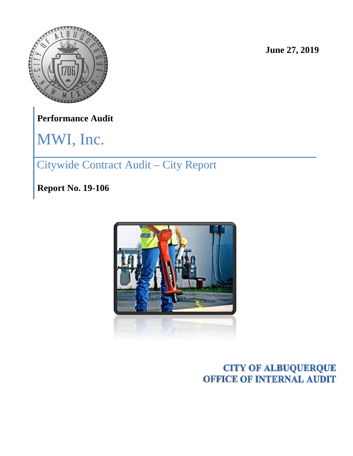

**June 27, 2019**

**Performance Audit**

MWI, Inc.

# Citywide Contract Audit – City Report

**Report No. 19-106**



## **CITY OF ALBUQUERQUE OFFICE OF INTERNAL AUDIT**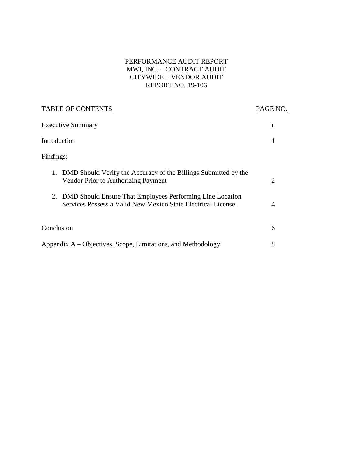#### PERFORMANCE AUDIT REPORT MWI, INC. – CONTRACT AUDIT CITYWIDE – VENDOR AUDIT REPORT NO. 19-106

| <b>TABLE OF CONTENTS</b>                                                                                                         | PAGE NO.       |
|----------------------------------------------------------------------------------------------------------------------------------|----------------|
| <b>Executive Summary</b>                                                                                                         | $\mathbf{1}$   |
| Introduction                                                                                                                     |                |
| Findings:                                                                                                                        |                |
| DMD Should Verify the Accuracy of the Billings Submitted by the<br>1.<br><b>Vendor Prior to Authorizing Payment</b>              | $\overline{2}$ |
| DMD Should Ensure That Employees Performing Line Location<br>2.<br>Services Possess a Valid New Mexico State Electrical License. | $\overline{4}$ |
| Conclusion                                                                                                                       | 6              |
| Appendix A – Objectives, Scope, Limitations, and Methodology                                                                     | 8              |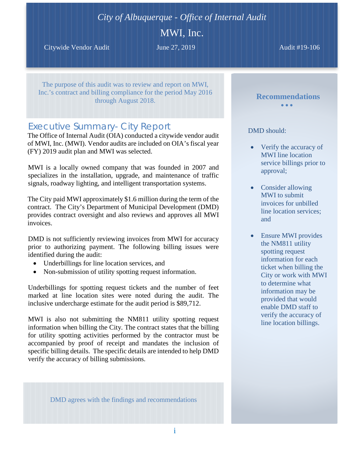## *City of Albuquerque - Office of Internal Audit*

MWI, Inc.

Citywide Vendor Audit **June 27, 2019** Audit #19-106

The purpose of this audit was to review and report on MWI, Inc.'s contract and billing compliance for the period May 2016 through August 2018.

## *Executive Summary- City Report*

The Office of Internal Audit (OIA) conducted a citywide vendor audit of MWI, Inc. (MWI). Vendor audits are included on OIA's fiscal year (FY) 2019 audit plan and MWI was selected.

MWI is a locally owned company that was founded in 2007 and specializes in the installation, upgrade, and maintenance of traffic signals, roadway lighting, and intelligent transportation systems.

The City paid MWI approximately \$1.6 million during the term of the contract. The City's Department of Municipal Development (DMD) provides contract oversight and also reviews and approves all MWI invoices.

DMD is not sufficiently reviewing invoices from MWI for accuracy prior to authorizing payment. The following billing issues were identified during the audit:

- Underbillings for line location services, and
- Non-submission of utility spotting request information.

Underbillings for spotting request tickets and the number of feet marked at line location sites were noted during the audit. The inclusive undercharge estimate for the audit period is \$89,712.

MWI is also not submitting the NM811 utility spotting request information when billing the City. The contract states that the billing for utility spotting activities performed by the contractor must be accompanied by proof of receipt and mandates the inclusion of specific billing details. The specific details are intended to help DMD verify the accuracy of billing submissions.

DMD agrees with the findings and recommendations

### DMD should:

• Verify the accuracy of MWI line location service billings prior to approval;

**Recommendations** • • •

- Consider allowing MWI to submit invoices for unbilled line location services; and
- Ensure MWI provides the NM811 utility spotting request information for each ticket when billing the City or work with MWI to determine what information may be provided that would enable DMD staff to verify the accuracy of line location billings.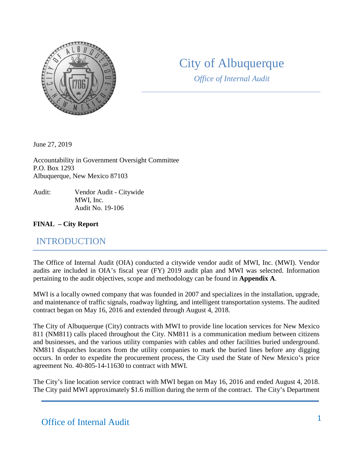

## City of Albuquerque

*Office of Internal Audit*

June 27, 2019

Accountability in Government Oversight Committee P.O. Box 1293 Albuquerque, New Mexico 87103

Audit: Vendor Audit - Citywide MWI, Inc. Audit No. 19-106

#### **FINAL – City Report**

## INTRODUCTION

The Office of Internal Audit (OIA) conducted a citywide vendor audit of MWI, Inc. (MWI). Vendor audits are included in OIA's fiscal year (FY) 2019 audit plan and MWI was selected. Information pertaining to the audit objectives, scope and methodology can be found in **Appendix A**.

MWI is a locally owned company that was founded in 2007 and specializes in the installation, upgrade, and maintenance of traffic signals, roadway lighting, and intelligent transportation systems. The audited contract began on May 16, 2016 and extended through August 4, 2018.

The City of Albuquerque (City) contracts with MWI to provide line location services for New Mexico 811 (NM811) calls placed throughout the City. NM811 is a communication medium between citizens and businesses, and the various utility companies with cables and other facilities buried underground. NM811 dispatches locators from the utility companies to mark the buried lines before any digging occurs. In order to expedite the procurement process, the City used the State of New Mexico's price agreement No. 40-805-14-11630 to contract with MWI.

The City's line location service contract with MWI began on May 16, 2016 and ended August 4, 2018. The City paid MWI approximately \$1.6 million during the term of the contract. The City's Department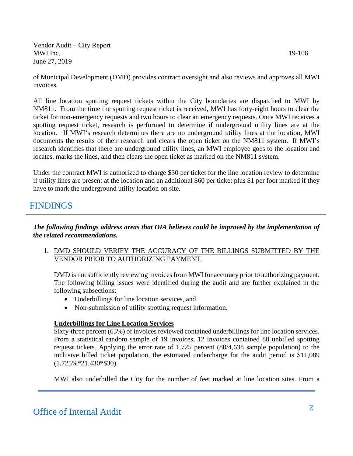of Municipal Development (DMD) provides contract oversight and also reviews and approves all MWI invoices.

All line location spotting request tickets within the City boundaries are dispatched to MWI by NM811. From the time the spotting request ticket is received, MWI has forty-eight hours to clear the ticket for non-emergency requests and two hours to clear an emergency requests. Once MWI receives a spotting request ticket, research is performed to determine if underground utility lines are at the location. If MWI's research determines there are no underground utility lines at the location, MWI documents the results of their research and clears the open ticket on the NM811 system. If MWI's research identifies that there are underground utility lines, an MWI employee goes to the location and locates, marks the lines, and then clears the open ticket as marked on the NM811 system.

Under the contract MWI is authorized to charge \$30 per ticket for the line location review to determine if utility lines are present at the location and an additional \$60 per ticket plus \$1 per foot marked if they have to mark the underground utility location on site.

## FINDINGS

*The following findings address areas that OIA believes could be improved by the implementation of the related recommendations.*

1. DMD SHOULD VERIFY THE ACCURACY OF THE BILLINGS SUBMITTED BY THE VENDOR PRIOR TO AUTHORIZING PAYMENT.

DMD is not sufficiently reviewing invoices from MWI for accuracy prior to authorizing payment. The following billing issues were identified during the audit and are further explained in the following subsections:

- Underbillings for line location services, and
- Non-submission of utility spotting request information.

#### **Underbillings for Line Location Services**

Sixty-three percent (63%) of invoices reviewed contained underbillings for line location services. From a statistical random sample of 19 invoices, 12 invoices contained 80 unbilled spotting request tickets. Applying the error rate of 1.725 percent (80/4,638 sample population) to the inclusive billed ticket population, the estimated undercharge for the audit period is \$11,089 (1.725%\*21,430\*\$30).

MWI also underbilled the City for the number of feet marked at line location sites. From a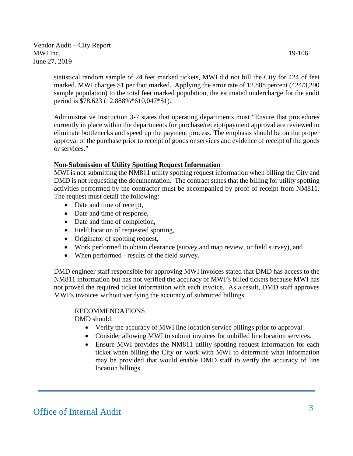statistical random sample of 24 feet marked tickets, MWI did not bill the City for 424 of feet marked. MWI charges \$1 per foot marked. Applying the error rate of 12.888 percent (424/3,290 sample population) to the total feet marked population, the estimated undercharge for the audit period is \$78,623 (12.888%\*610,047\*\$1).

Administrative Instruction 3-7 states that operating departments must "Ensure that procedures currently in place within the departments for purchase/receipt/payment approval are reviewed to eliminate bottlenecks and speed up the payment process. The emphasis should be on the proper approval of the purchase prior to receipt of goods or services and evidence of receipt of the goods or services."

#### **Non-Submission of Utility Spotting Request Information**

MWI is not submitting the NM811 utility spotting request information when billing the City and DMD is not requesting the documentation. The contract states that the billing for utility spotting activities performed by the contractor must be accompanied by proof of receipt from NM811. The request must detail the following:

- Date and time of receipt,
- Date and time of response,
- Date and time of completion,
- Field location of requested spotting,
- Originator of spotting request,
- Work performed to obtain clearance (survey and map review, or field survey), and
- When performed results of the field survey.

DMD engineer staff responsible for approving MWI invoices stated that DMD has access to the NM811 information but has not verified the accuracy of MWI's billed tickets because MWI has not proved the required ticket information with each invoice. As a result, DMD staff approves MWI's invoices without verifying the accuracy of submitted billings.

#### RECOMMENDATIONS

DMD should:

- Verify the accuracy of MWI line location service billings prior to approval.
- Consider allowing MWI to submit invoices for unbilled line location services.
- Ensure MWI provides the NM811 utility spotting request information for each ticket when billing the City **or** work with MWI to determine what information may be provided that would enable DMD staff to verify the accuracy of line location billings.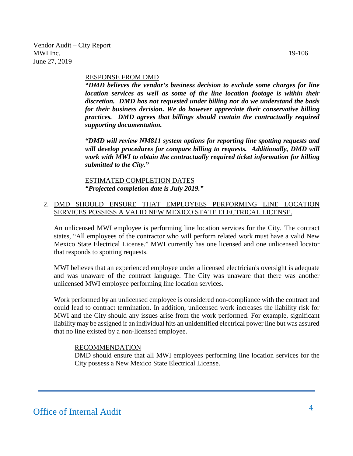#### RESPONSE FROM DMD

*"DMD believes the vendor's business decision to exclude some charges for line location services as well as some of the line location footage is within their discretion. DMD has not requested under billing nor do we understand the basis for their business decision. We do however appreciate their conservative billing practices. DMD agrees that billings should contain the contractually required supporting documentation.*

*"DMD will review NM811 system options for reporting line spotting requests and will develop procedures for compare billing to requests. Additionally, DMD will work with MWI to obtain the contractually required ticket information for billing submitted to the City."*

ESTIMATED COMPLETION DATES *"Projected completion date is July 2019."*

#### 2. DMD SHOULD ENSURE THAT EMPLOYEES PERFORMING LINE LOCATION SERVICES POSSESS A VALID NEW MEXICO STATE ELECTRICAL LICENSE.

An unlicensed MWI employee is performing line location services for the City. The contract states, "All employees of the contractor who will perform related work must have a valid New Mexico State Electrical License." MWI currently has one licensed and one unlicensed locator that responds to spotting requests.

MWI believes that an experienced employee under a licensed electrician's oversight is adequate and was unaware of the contract language. The City was unaware that there was another unlicensed MWI employee performing line location services.

Work performed by an unlicensed employee is considered non-compliance with the contract and could lead to contract termination. In addition, unlicensed work increases the liability risk for MWI and the City should any issues arise from the work performed. For example, significant liability may be assigned if an individual hits an unidentified electrical power line but was assured that no line existed by a non-licensed employee.

#### **RECOMMENDATION**

DMD should ensure that all MWI employees performing line location services for the City possess a New Mexico State Electrical License.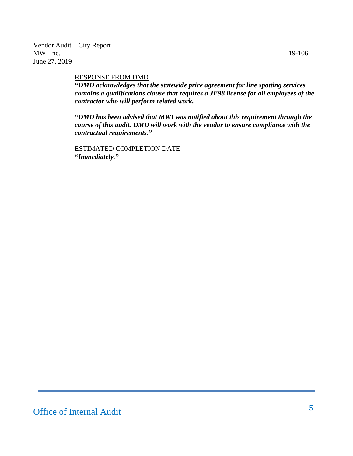#### RESPONSE FROM DMD

*"DMD acknowledges that the statewide price agreement for line spotting services contains a qualifications clause that requires a JE98 license for all employees of the contractor who will perform related work.*

*"DMD has been advised that MWI was notified about this requirement through the course of this audit. DMD will work with the vendor to ensure compliance with the contractual requirements."*

ESTIMATED COMPLETION DATE **"***Immediately."*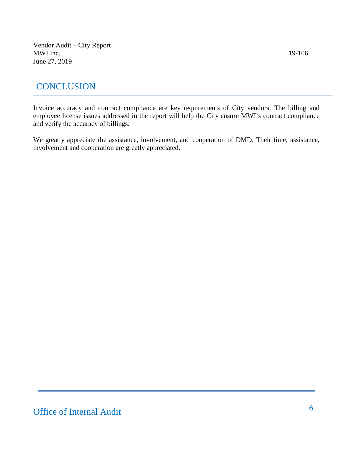## **CONCLUSION**

Invoice accuracy and contract compliance are key requirements of City vendors. The billing and employee license issues addressed in the report will help the City ensure MWI's contract compliance and verify the accuracy of billings.

We greatly appreciate the assistance, involvement, and cooperation of DMD. Their time, assistance, involvement and cooperation are greatly appreciated.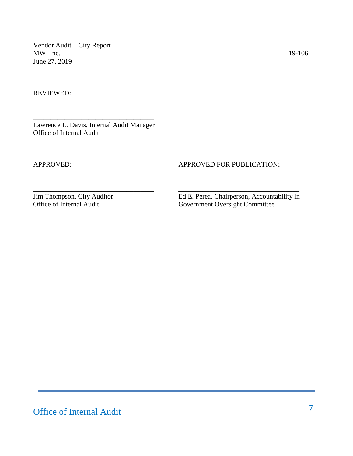REVIEWED:

\_\_\_\_\_\_\_\_\_\_\_\_\_\_\_\_\_\_\_\_\_\_\_\_\_\_\_\_\_\_\_\_\_\_\_ Lawrence L. Davis, Internal Audit Manager Office of Internal Audit

#### APPROVED: APPROVED FOR PUBLICATION**:**

\_\_\_\_\_\_\_\_\_\_\_\_\_\_\_\_\_\_\_\_\_\_\_\_\_\_\_\_\_\_\_\_\_\_\_ \_\_\_\_\_\_\_\_\_\_\_\_\_\_\_\_\_\_\_\_\_\_\_\_\_\_\_\_\_\_\_\_\_\_\_

Jim Thompson, City Auditor<br>
Ed E. Perea, Chairperson, Accountability in<br>
Government Oversight Committee Government Oversight Committee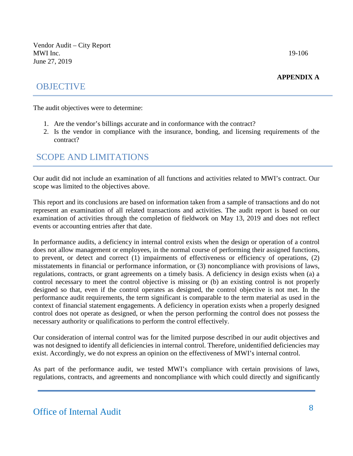#### **APPENDIX A**

## **OBJECTIVE**

The audit objectives were to determine:

- 1. Are the vendor's billings accurate and in conformance with the contract?
- 2. Is the vendor in compliance with the insurance, bonding, and licensing requirements of the contract?

## SCOPE AND LIMITATIONS

Our audit did not include an examination of all functions and activities related to MWI's contract. Our scope was limited to the objectives above.

This report and its conclusions are based on information taken from a sample of transactions and do not represent an examination of all related transactions and activities. The audit report is based on our examination of activities through the completion of fieldwork on May 13, 2019 and does not reflect events or accounting entries after that date.

In performance audits, a deficiency in internal control exists when the design or operation of a control does not allow management or employees, in the normal course of performing their assigned functions, to prevent, or detect and correct (1) impairments of effectiveness or efficiency of operations, (2) misstatements in financial or performance information, or (3) noncompliance with provisions of laws, regulations, contracts, or grant agreements on a timely basis. A deficiency in design exists when (a) a control necessary to meet the control objective is missing or (b) an existing control is not properly designed so that, even if the control operates as designed, the control objective is not met. In the performance audit requirements, the term significant is comparable to the term material as used in the context of financial statement engagements. A deficiency in operation exists when a properly designed control does not operate as designed, or when the person performing the control does not possess the necessary authority or qualifications to perform the control effectively.

Our consideration of internal control was for the limited purpose described in our audit objectives and was not designed to identify all deficiencies in internal control. Therefore, unidentified deficiencies may exist. Accordingly, we do not express an opinion on the effectiveness of MWI's internal control.

As part of the performance audit, we tested MWI's compliance with certain provisions of laws, regulations, contracts, and agreements and noncompliance with which could directly and significantly